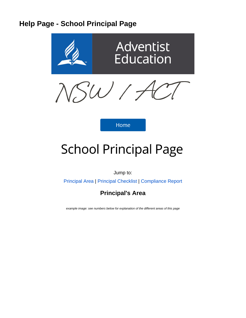# **Help Page - School Principal Page**



**Home** 

# **School Principal Page**

Jump to:

[Principal Area](https://confluence.adventist.edu.au/pages/viewpage.action?pageId=30443328#HelpPageSchoolPrincipalPage-principalarea) | [Principal Checklist](https://confluence.adventist.edu.au/pages/viewpage.action?pageId=30443328#HelpPageSchoolPrincipalPage-principalcheck) | [Compliance Report](#page-7-0)

**Principal's Area**

example image: see numbers below for explanation of the different areas of this page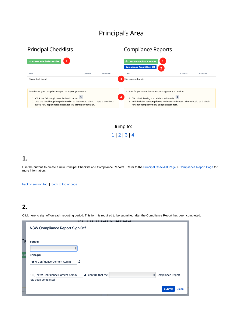# Principal's Area

| <b>Principal Checklists</b>                                                                                                                                                                                                                               |         |          | <b>Compliance Reports</b>                                                                                                                                                                                                                    |         |          |  |  |  |
|-----------------------------------------------------------------------------------------------------------------------------------------------------------------------------------------------------------------------------------------------------------|---------|----------|----------------------------------------------------------------------------------------------------------------------------------------------------------------------------------------------------------------------------------------------|---------|----------|--|--|--|
| + Create Principal Checklist<br>Title                                                                                                                                                                                                                     | Creator | Modified | <b>Create Compliance Report</b><br><b>Compliance Report Sign Off</b><br>$\overline{2}$<br>Title                                                                                                                                              | Creator | Modified |  |  |  |
| No content found.                                                                                                                                                                                                                                         |         |          | 3<br>No content found.                                                                                                                                                                                                                       |         |          |  |  |  |
| in order for your compliance report to appear you need to<br>1. Click the following icon while in edit mode<br>2. Add the label hacprincipalchecklist to the created sheet. There should be 2<br>labels now happrincipalchecklist and principalchecklist. |         |          | in order for your compliance report to appear you need to<br>4<br>1. Click the following icon while in edit mode<br>2. Add the label haccompliance to the created sheet. There should be 2 labels<br>now haccompliance and compliancereport. |         |          |  |  |  |

Jump to: [1](https://confluence.adventist.edu.au/pages/viewpage.action?pageId=30443328#HelpPageSchoolPrincipalPage-prince1) | [2](https://confluence.adventist.edu.au/pages/viewpage.action?pageId=30443328#HelpPageSchoolPrincipalPage-prince1) | [3](https://confluence.adventist.edu.au/pages/viewpage.action?pageId=30443328#HelpPageSchoolPrincipalPage-prince3) | [4](https://confluence.adventist.edu.au/pages/viewpage.action?pageId=30443328#HelpPageSchoolPrincipalPage-prince4)

### **1.**

Use the buttons to create a new Principal Checklist and Compliance Reports. Refer to the [Principal Checklist Page](https://confluence.adventist.edu.au/pages/viewpage.action?pageId=30443328#HelpPageSchoolPrincipalPage-princi) & [Compliance Report Page](https://confluence.adventist.edu.au/pages/viewpage.action?pageId=30443328#HelpPageSchoolPrincipalPage-compliancere) for more information.

[back to section top](https://confluence.adventist.edu.au/pages/viewpage.action?pageId=30443328#HelpPageSchoolPrincipalPage-principalarea) | [back to top of page](https://confluence.adventist.edu.au/pages/viewpage.action?pageId=30443328#HelpPageSchoolPrincipalPage-principaltop)

## **2.**

Click here to sign off on each reporting period. This form is required to be submitted after the Compliance Report has been completed.

|    | ----------<br>NSW Compliance Report Sign Off                                                                      |
|----|-------------------------------------------------------------------------------------------------------------------|
| า  | <b>School</b>                                                                                                     |
| сk | ÷<br>Principal<br>NSW Confluence Content Admin<br>Α                                                               |
|    | $\triangle$ confirm that the<br>Compliance Report<br>NSW Confluence Content Admin<br>Ο Ι,⊹<br>has been completed. |
| nc | <b>Submit</b><br><b>Close</b>                                                                                     |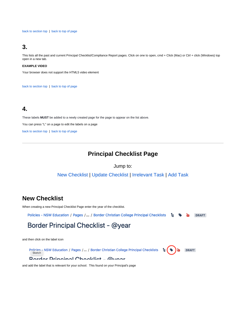[back to section top](https://confluence.adventist.edu.au/pages/viewpage.action?pageId=30443328#HelpPageSchoolPrincipalPage-principalarea) | [back to top of page](https://confluence.adventist.edu.au/pages/viewpage.action?pageId=30443328#HelpPageSchoolPrincipalPage-principaltop)

### **3.**

This lists all the past and current Principal Checklist/Compliance Report pages. Click on one to open, cmd + Click (Mac) or Ctrl + click (Windows) top open in a new tab.

#### **EXAMPLE VIDEO**

Your browser does not support the HTML5 video element

[back to section top](https://confluence.adventist.edu.au/pages/viewpage.action?pageId=30443328#HelpPageSchoolPrincipalPage-principalarea) | [back to top of page](https://confluence.adventist.edu.au/pages/viewpage.action?pageId=30443328#HelpPageSchoolPrincipalPage-principaltop)

### **4.**

These labels **MUST** be added to a newly created page for the page to appear on the list above. You can press "L" on a page to edit the labels on a page [back to section top](https://confluence.adventist.edu.au/pages/viewpage.action?pageId=30443328#HelpPageSchoolPrincipalPage-principalarea) | [back to top of page](https://confluence.adventist.edu.au/pages/viewpage.action?pageId=30443328#HelpPageSchoolPrincipalPage-principaltop)

### **Principal Checklist Page**

Jump to:

[New Checklist](https://confluence.adventist.edu.au/pages/viewpage.action?pageId=30443328#HelpPageSchoolPrincipalPage-newchecklist) [| Update Checklist](https://confluence.adventist.edu.au/pages/viewpage.action?pageId=30443328#HelpPageSchoolPrincipalPage-editchecklist) | [Irrelevant Task](https://confluence.adventist.edu.au/pages/viewpage.action?pageId=30443328#HelpPageSchoolPrincipalPage-irrelevanttask) | [Add Task](https://confluence.adventist.edu.au/pages/viewpage.action?pageId=30443328#HelpPageSchoolPrincipalPage-addtask)

### **New Checklist**

When creating a new Principal Checklist Page enter the year of the checklist.

Policies - NSW Education / Pages /... / Border Christian College Principal Checklists  $\mathbf{b}$  .  $\mathbf{b}$ **DRAFT** 

# Border Principal Checklist - @year

and then click on the label icon

Policies - NSW Education / Pages / ... / Border Christian College Principal Checklists **DRAFT**  $\mathbf{t}(\mathbf{\bullet})\mathbf{b}$ Sketch

### **Dardar Dringinal Chapklist - Quear**

and add the label that is relevant for your school. This found on your Principal's page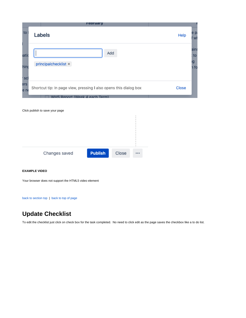|             | <b>February</b>                                                                                    |              |                  |
|-------------|----------------------------------------------------------------------------------------------------|--------------|------------------|
| to          | Labels                                                                                             | Help         | e p<br>W         |
| atio        | Add<br>principalchecklist ×                                                                        |              | ain:<br>to<br>ıg |
| hing<br>scl |                                                                                                    |              | ነ fo             |
| ers<br>e n  | Shortcut tip: In page view, pressing I also opens this dialog box<br>WHS Report (Week 4 each Term) | <b>Close</b> |                  |

| <b>Publish</b><br>Changes saved<br>Close<br> |
|----------------------------------------------|

#### **EXAMPLE VIDEO**

Your browser does not support the HTML5 video element

[back to section top](https://confluence.adventist.edu.au/pages/viewpage.action?pageId=30443328#HelpPageSchoolPrincipalPage-principalcheck) | [back to top of page](https://confluence.adventist.edu.au/pages/viewpage.action?pageId=30443328#HelpPageSchoolPrincipalPage-principaltop)

### **Update Checklist**

To edit the checklist just click on check box for the task completed. No need to click edit as the page saves the checkbox like a to do list.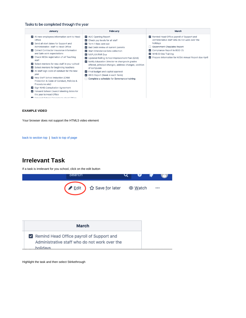### Tasks to be completed through the year

| January                                                                                                                                                                                                                                                                                                                                                                                                                                                                                                                                                                                                                                                                                 | February                                                                                                                                                                                                                                                                                                                                                                                                                                                                                      | March                                                                                                                                                                                                                                                                       |
|-----------------------------------------------------------------------------------------------------------------------------------------------------------------------------------------------------------------------------------------------------------------------------------------------------------------------------------------------------------------------------------------------------------------------------------------------------------------------------------------------------------------------------------------------------------------------------------------------------------------------------------------------------------------------------------------|-----------------------------------------------------------------------------------------------------------------------------------------------------------------------------------------------------------------------------------------------------------------------------------------------------------------------------------------------------------------------------------------------------------------------------------------------------------------------------------------------|-----------------------------------------------------------------------------------------------------------------------------------------------------------------------------------------------------------------------------------------------------------------------------|
| Iz All new employees information sent to Head<br>Office<br>Send all start dates for Support and<br>Administrative staff to Head Office<br>Collect Contractor insurance information<br>and Safe work expectations<br>Check NESA registration of all Teaching<br>staff<br>Select mentors for new staff in your school<br>Select mentors for beginning teachers<br>All staff sign code of conduct for the new<br>year<br>New Staff School Induction (Child<br>Protection & Code of Conduct, Policies &<br>Procedures etc)<br>Sign WHS Consultation Agreement<br>The Forward School Council Meeting dates for<br>the year to Head Office<br><b>B</b> Earward School Colondar to Head Office | AUC Opening Report<br>$\triangleright$ Check pay levels for all staff<br>Term 1 fees sent out<br>Bad Debt review of current parents<br>Start Attendance Data collection<br>NAPLAN PAR Due<br>V Updated Rolling School Improvement Plan (QAS)<br>Motify Education Director re changes in grades<br>offered, principal changes, address changes, addition<br>of campuses<br>Final budget and capital approval<br>WHS Report (Week 4 each Term)<br>□ Complete a schedule for Governance training | Remind Head Office payroll of Support and<br>Administrative staff who do not work over the<br>holidays<br>Government Chaplains Report<br>Compliance Report to BOD (1)<br><b>WHS Online Training</b><br>$\checkmark$<br>Prepare information for NESA Annual Report due April |

#### **EXAMPLE VIDEO**

Your browser does not support the HTML5 video element

[back to section top](https://confluence.adventist.edu.au/pages/viewpage.action?pageId=30443328#HelpPageSchoolPrincipalPage-principalcheck) | [back to top of page](https://confluence.adventist.edu.au/pages/viewpage.action?pageId=30443328#HelpPageSchoolPrincipalPage-principaltop)

### **Irrelevant Task**

If a task is irrelevant for you school, click on the edit button



| March                                                                                                  |
|--------------------------------------------------------------------------------------------------------|
| Remind Head Office payroll of Support and<br>Administrative staff who do not work over the<br>holidays |

Highlight the task and then select Stirkethrough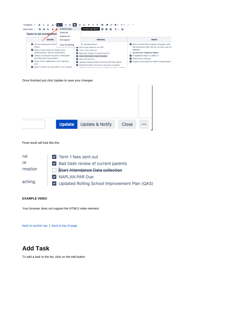

#### Once finished just click Update to save your changes

| <b>Update</b> | <b>Update &amp; Notify</b> | Close |  |
|---------------|----------------------------|-------|--|

#### Final result will look like this

| nd      | $\triangleright$ Term 1 fees sent out         |
|---------|-----------------------------------------------|
| cе      | Bad Debt review of current parents            |
| rmation | Start Attendance Data collection              |
|         | NAPLAN PAR Due                                |
| aching  | Updated Rolling School Improvement Plan (QAS) |

#### **EXAMPLE VIDEO**

Your browser does not support the HTML5 video element

[back to section top](https://confluence.adventist.edu.au/pages/viewpage.action?pageId=30443328#HelpPageSchoolPrincipalPage-principalcheck) | [back to top of page](https://confluence.adventist.edu.au/pages/viewpage.action?pageId=30443328#HelpPageSchoolPrincipalPage-principaltop)

### **Add Task**

To add a task to the list, click on the edit button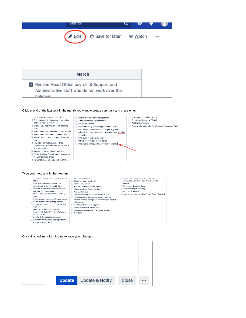

Remind Head Office payroll of Support and Administrative staff who do not work over the holidavs

#### Click at end of the last task in the month you want to create your task and press enter



Protection & Code of Conduct, Policies & New Task  $\Box$ 

- Procedures etc) Sign WHS Consultation Agreement
- Forward School Council Meeting dates for the year to Head Office

Once finished just click Update to save your changes

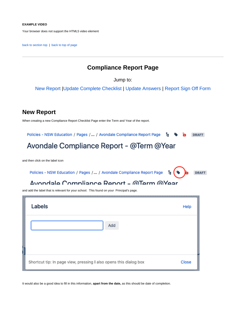#### **EXAMPLE VIDEO**

Your browser does not support the HTML5 video element

<span id="page-7-0"></span>[back to section top](https://confluence.adventist.edu.au/pages/viewpage.action?pageId=30443328#HelpPageSchoolPrincipalPage-principalcheck) | [back to top of page](https://confluence.adventist.edu.au/pages/viewpage.action?pageId=30443328#HelpPageSchoolPrincipalPage-principaltop)

### **Compliance Report Page**

Jump to:

[New Report](https://confluence.adventist.edu.au/pages/viewpage.action?pageId=30443328#HelpPageSchoolPrincipalPage-newreport) [|Update Complete Checklist](#page-8-0) | Update Answers | [Report Sign Off Form](#page-10-0)

### **New Report**

When creating a new Compliance Report Checklist Page enter the Term and Year of the report.

Policies - NSW Education / Pages /... / Avondale Compliance Report Page ъ **DRAFT** 

# Avondale Compliance Report - @Term @Year

and then click on the label icon

Policies - NSW Education / Pages / ... / Avondale Compliance Report Page  $\mathbf{t}$  (  $\mathbf{\hat{v}}$ 

**DRAFT** 

### Avondale Compliance Report - MTerm MYear

and add the label that is relevant for your school. This found on your Principal's page.

| Labels                                                            | Help  |
|-------------------------------------------------------------------|-------|
| Add                                                               |       |
|                                                                   |       |
| Shortcut tip: In page view, pressing I also opens this dialog box | Close |

It would also be a good idea to fill in this information, **apart from the date,** as this should be date of completion.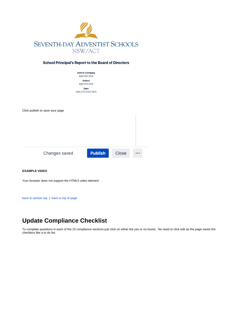

### **School Principal's Report to the Board of Directors**

| <b>School Company</b>  |
|------------------------|
| type text here         |
| School                 |
| type text here         |
| Date                   |
| type // to insert date |
|                        |



#### **EXAMPLE VIDEO**

Your browser does not support the HTML5 video element

[back to section top](https://confluence.adventist.edu.au/pages/viewpage.action?pageId=30443328#HelpPageSchoolPrincipalPage-compliancereport) | [back to top of page](https://confluence.adventist.edu.au/pages/viewpage.action?pageId=30443328#HelpPageSchoolPrincipalPage-principaltop)

### <span id="page-8-0"></span>**Update Compliance Checklist**

To complete questions in each of the 10 compliance sections just click on either the yes or no boxes. No need to click edit as the page saves the checkbox like a to do list.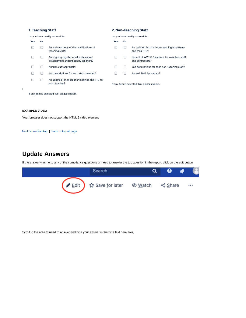### 1. Teaching Staff

### 2. Non-Teaching Staff

| Do you have readily accessible: |                                              | Do you have readily accessible:                                                |     |    |                                                                  |  |
|---------------------------------|----------------------------------------------|--------------------------------------------------------------------------------|-----|----|------------------------------------------------------------------|--|
| Yes                             | No                                           |                                                                                | Yes | No |                                                                  |  |
|                                 |                                              | An updated copy of the qualifications of<br>teaching staff?                    |     |    | An updated list of all non-teaching employees<br>and their FTE?  |  |
|                                 |                                              | An ongoing register of all professional<br>development undertaken by teachers? |     |    | Record of WWCC Clearance for volunteer staff<br>and contractors? |  |
|                                 |                                              | Annual staff appraisals?                                                       |     |    | Job descriptions for each non-teaching staff?                    |  |
|                                 |                                              | Job descriptions for each staff member?                                        |     |    | Annual Staff Appraisals?                                         |  |
|                                 |                                              | An updated list of teacher loadings and FTE for<br>each teacher?               |     |    | If any item is selected 'No' please explain.                     |  |
|                                 | If any item is selected 'No' please explain. |                                                                                |     |    |                                                                  |  |

#### **EXAMPLE VIDEO**

 $\mathbb{I}$ 

Your browser does not support the HTML5 video element

[back to section top](https://confluence.adventist.edu.au/pages/viewpage.action?pageId=30443328#HelpPageSchoolPrincipalPage-compliancereport) | [back to top of page](https://confluence.adventist.edu.au/pages/viewpage.action?pageId=30443328#HelpPageSchoolPrincipalPage-principaltop)

### **Update Answers**

If the answer was no to any of the compliance questions or need to answer the top question in the report, click on the edit button

| Search                                                                                                                                                                                                                        |  | ႕        |
|-------------------------------------------------------------------------------------------------------------------------------------------------------------------------------------------------------------------------------|--|----------|
| General Multiple of Save for later  strater  veratch  veration  veration  veration  veration  veration  veration  veration  veration  veration  veration  veration  veration  veration  veration  veration  veration veration |  | $\cdots$ |

Scroll to the area to need to answer and type your answer in the type text here area